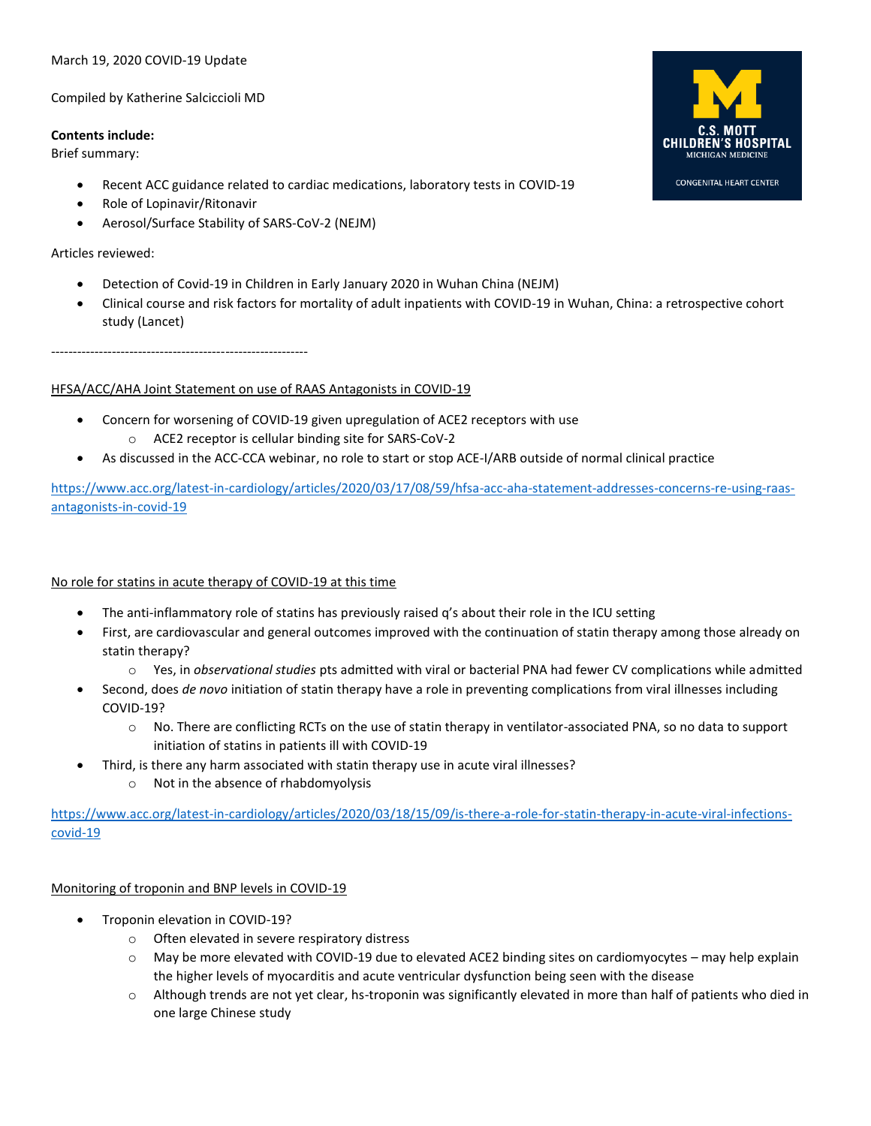#### March 19, 2020 COVID-19 Update

Compiled by Katherine Salciccioli MD

#### **Contents include:**

Brief summary:

- Recent ACC guidance related to cardiac medications, laboratory tests in COVID-19
- Role of Lopinavir/Ritonavir
- Aerosol/Surface Stability of SARS-CoV-2 (NEJM)

#### Articles reviewed:

- Detection of Covid-19 in Children in Early January 2020 in Wuhan China (NEJM)
- Clinical course and risk factors for mortality of adult inpatients with COVID-19 in Wuhan, China: a retrospective cohort study (Lancet)

-----------------------------------------------------------

### HFSA/ACC/AHA Joint Statement on use of RAAS Antagonists in COVID-19

- Concern for worsening of COVID-19 given upregulation of ACE2 receptors with use
	- o ACE2 receptor is cellular binding site for SARS-CoV-2
- As discussed in the ACC-CCA webinar, no role to start or stop ACE-I/ARB outside of normal clinical practice

[https://www.acc.org/latest-in-cardiology/articles/2020/03/17/08/59/hfsa-acc-aha-statement-addresses-concerns-re-using-raas](https://www.acc.org/latest-in-cardiology/articles/2020/03/17/08/59/hfsa-acc-aha-statement-addresses-concerns-re-using-raas-antagonists-in-covid-19)[antagonists-in-covid-19](https://www.acc.org/latest-in-cardiology/articles/2020/03/17/08/59/hfsa-acc-aha-statement-addresses-concerns-re-using-raas-antagonists-in-covid-19)

### No role for statins in acute therapy of COVID-19 at this time

- The anti-inflammatory role of statins has previously raised q's about their role in the ICU setting
- First, are cardiovascular and general outcomes improved with the continuation of statin therapy among those already on statin therapy?
	- o Yes, in *observational studies* pts admitted with viral or bacterial PNA had fewer CV complications while admitted
- Second, does *de novo* initiation of statin therapy have a role in preventing complications from viral illnesses including COVID-19?
	- o No. There are conflicting RCTs on the use of statin therapy in ventilator-associated PNA, so no data to support initiation of statins in patients ill with COVID-19
- Third, is there any harm associated with statin therapy use in acute viral illnesses?
	- o Not in the absence of rhabdomyolysis

[https://www.acc.org/latest-in-cardiology/articles/2020/03/18/15/09/is-there-a-role-for-statin-therapy-in-acute-viral-infections](https://www.acc.org/latest-in-cardiology/articles/2020/03/18/15/09/is-there-a-role-for-statin-therapy-in-acute-viral-infections-covid-19)[covid-19](https://www.acc.org/latest-in-cardiology/articles/2020/03/18/15/09/is-there-a-role-for-statin-therapy-in-acute-viral-infections-covid-19)

### Monitoring of troponin and BNP levels in COVID-19

- Troponin elevation in COVID-19?
	- o Often elevated in severe respiratory distress
	- o May be more elevated with COVID-19 due to elevated ACE2 binding sites on cardiomyocytes may help explain the higher levels of myocarditis and acute ventricular dysfunction being seen with the disease
	- $\circ$  Although trends are not yet clear, hs-troponin was significantly elevated in more than half of patients who died in one large Chinese study

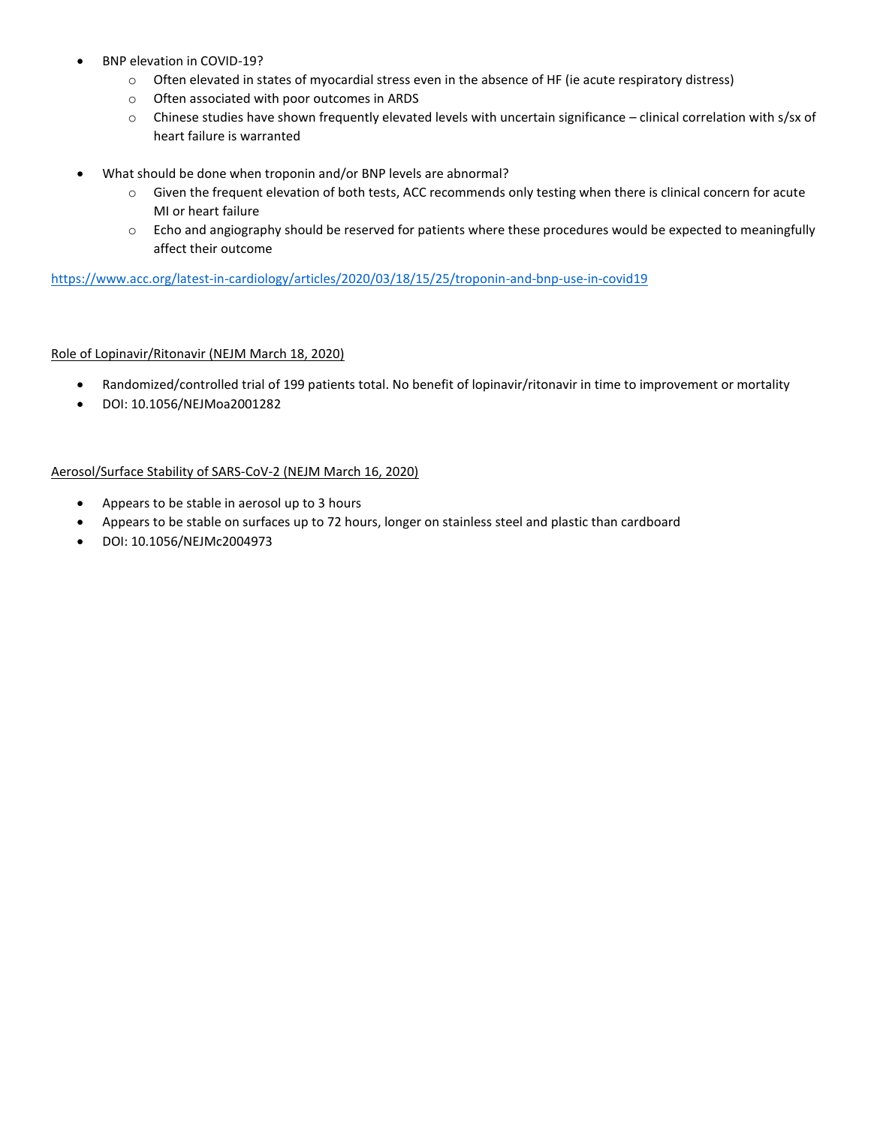- BNP elevation in COVID-19?
	- o Often elevated in states of myocardial stress even in the absence of HF (ie acute respiratory distress)
	- o Often associated with poor outcomes in ARDS
	- o Chinese studies have shown frequently elevated levels with uncertain significance clinical correlation with s/sx of heart failure is warranted
- What should be done when troponin and/or BNP levels are abnormal?
	- o Given the frequent elevation of both tests, ACC recommends only testing when there is clinical concern for acute MI or heart failure
	- o Echo and angiography should be reserved for patients where these procedures would be expected to meaningfully affect their outcome

<https://www.acc.org/latest-in-cardiology/articles/2020/03/18/15/25/troponin-and-bnp-use-in-covid19>

## Role of Lopinavir/Ritonavir (NEJM March 18, 2020)

- Randomized/controlled trial of 199 patients total. No benefit of lopinavir/ritonavir in time to improvement or mortality
- DOI: 10.1056/NEJMoa2001282

### Aerosol/Surface Stability of SARS-CoV-2 (NEJM March 16, 2020)

- Appears to be stable in aerosol up to 3 hours
- Appears to be stable on surfaces up to 72 hours, longer on stainless steel and plastic than cardboard
- DOI: 10.1056/NEJMc2004973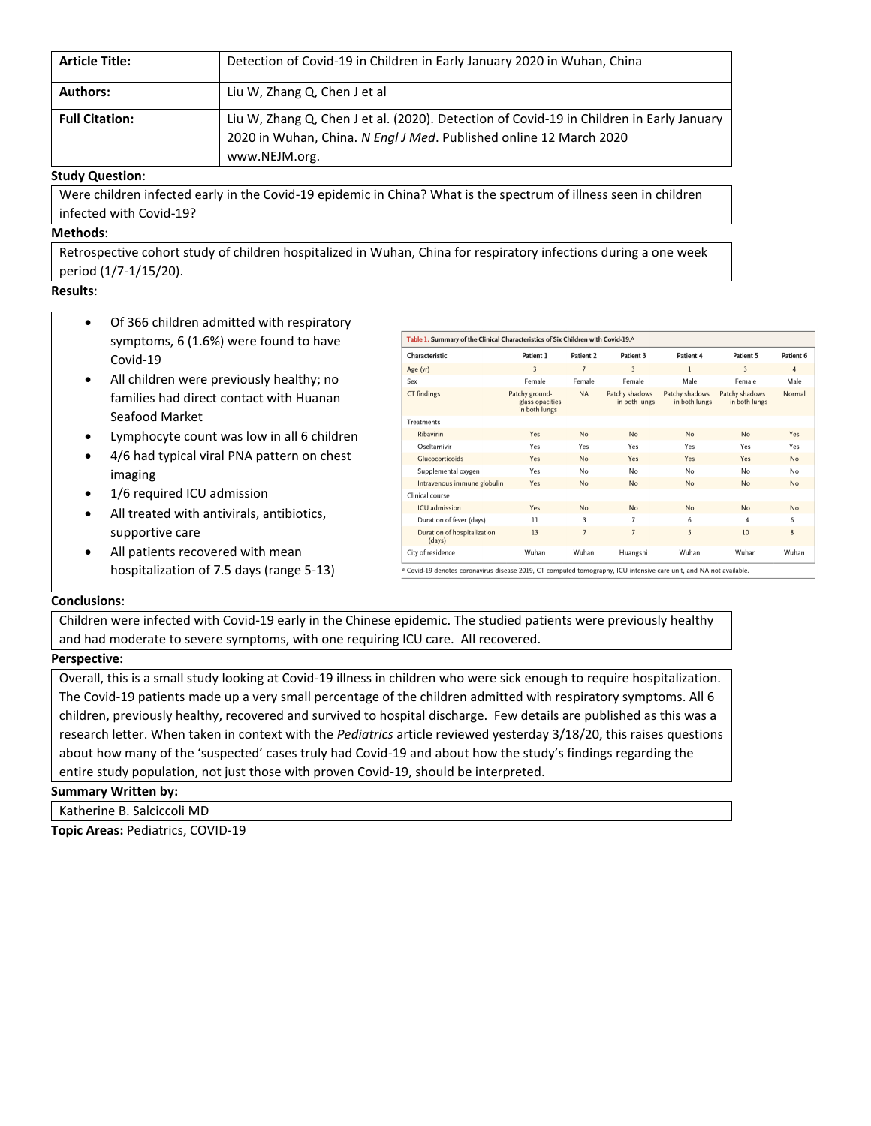| <b>Article Title:</b> | Detection of Covid-19 in Children in Early January 2020 in Wuhan, China                                                                                                         |
|-----------------------|---------------------------------------------------------------------------------------------------------------------------------------------------------------------------------|
| <b>Authors:</b>       | Liu W, Zhang Q, Chen J et al                                                                                                                                                    |
| <b>Full Citation:</b> | Liu W, Zhang Q, Chen J et al. (2020). Detection of Covid-19 in Children in Early January<br>2020 in Wuhan, China. N Engl J Med. Published online 12 March 2020<br>www.NEJM.org. |

#### **Study Question**:

Were children infected early in the Covid-19 epidemic in China? What is the spectrum of illness seen in children infected with Covid-19?

### **Methods**:

Retrospective cohort study of children hospitalized in Wuhan, China for respiratory infections during a one week period (1/7-1/15/20).

# **Results**:

- Of 366 children admitted with respiratory symptoms, 6 (1.6%) were found to have Covid-19
- All children were previously healthy; no families had direct contact with Huanan Seafood Market
- Lymphocyte count was low in all 6 children
- 4/6 had typical viral PNA pattern on chest imaging
- 1/6 required ICU admission
- All treated with antivirals, antibiotics, supportive care
- All patients recovered with mean hospitalization of 7.5 days (range 5-13)

| Table 1. Summary of the Clinical Characteristics of Six Children with Covid-19.* |                                                    |                |                                 |                                 |                                 |                |  |
|----------------------------------------------------------------------------------|----------------------------------------------------|----------------|---------------------------------|---------------------------------|---------------------------------|----------------|--|
| Characteristic                                                                   | Patient 1                                          | Patient 2      | Patient 3                       | Patient 4                       | Patient 5                       | Patient 6      |  |
| Age (yr)                                                                         | 3                                                  | $\overline{7}$ | $\overline{3}$                  | 1                               | $\overline{\mathbf{3}}$         | $\overline{4}$ |  |
| Sex                                                                              | Female                                             | Female         | Female                          | Male                            | Female                          | Male           |  |
| CT findings                                                                      | Patchy ground-<br>glass opacities<br>in both lungs | <b>NA</b>      | Patchy shadows<br>in both lungs | Patchy shadows<br>in both lungs | Patchy shadows<br>in both lungs | Normal         |  |
| <b>Treatments</b>                                                                |                                                    |                |                                 |                                 |                                 |                |  |
| Ribavirin                                                                        | Yes                                                | No             | No                              | No                              | No                              | Yes            |  |
| Oseltamivir                                                                      | Yes                                                | Yes            | Yes                             | Yes                             | Yes                             | Yes            |  |
| Glucocorticoids                                                                  | Yes                                                | No             | Yes                             | Yes                             | Yes                             | No             |  |
| Supplemental oxygen                                                              | Yes                                                | No             | No                              | No                              | No                              | No             |  |
| Intravenous immune globulin                                                      | Yes                                                | <b>No</b>      | No                              | No                              | No                              | No             |  |
| Clinical course                                                                  |                                                    |                |                                 |                                 |                                 |                |  |
| ICU admission                                                                    | Yes                                                | No             | No                              | No                              | No                              | No             |  |
| Duration of fever (days)                                                         | $_{11}$                                            | 3              | $\overline{7}$                  | 6                               | 4                               | 6              |  |
| Duration of hospitalization<br>(days)                                            | 13                                                 | $\overline{7}$ | $\overline{7}$                  | 5                               | 10                              | 8              |  |
| City of residence                                                                | Wuhan                                              | Wuhan          | Huangshi                        | Wuhan                           | Wuhan                           | Wuhan          |  |

### **Conclusions**:

Children were infected with Covid-19 early in the Chinese epidemic. The studied patients were previously healthy and had moderate to severe symptoms, with one requiring ICU care. All recovered.

# **Perspective:**

Overall, this is a small study looking at Covid-19 illness in children who were sick enough to require hospitalization. The Covid-19 patients made up a very small percentage of the children admitted with respiratory symptoms. All 6 children, previously healthy, recovered and survived to hospital discharge. Few details are published as this was a research letter. When taken in context with the *Pediatrics* article reviewed yesterday 3/18/20, this raises questions about how many of the 'suspected' cases truly had Covid-19 and about how the study's findings regarding the entire study population, not just those with proven Covid-19, should be interpreted.

#### **Summary Written by:**

Katherine B. Salciccoli MD

**Topic Areas:** Pediatrics, COVID-19